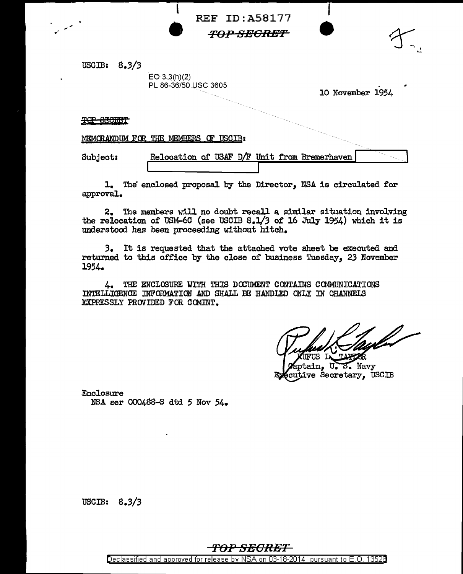REF ID:A58177

*T0:1."* **SEGRE'F** 

USGIB: 8.3/3

 $EO(3.3(h)(2)$ PL 86-36/50 USC 3605

**e** '

. 10 November 1954

 $\begin{bmatrix} 1 \end{bmatrix}$ 

**e** 

TOP SECRET

MEMORANDUM FOR THE MEMBERS OF USCIB:

Subject: Relocation of USAF  $D/F$  Unit from Bremerhaven

1. The enclosed proposal by the Director, NSA is oiroulated for approval.

2. The members will no doubt recall a similar situation involving the relocation of USM-6C (see USCIB 8.l/3 of 16 July 1954) which it is understood has been proceeding without hitch.

*3.* It is requested that the attached vote sheet be executed and returned to this office by the close of business Tuesday, 23 November 1954.

 $4.$  THE ENCLOSURE WITH THIS DOCUMENT CONTAINS COMMUNICATIONS INTELLIGENCE INFORMATION AND SHALL BE HANDLED ONLY IN CHANNELS EXPRESSLY PROVIDED FOR COMINT.

FUS L

tain, U. S. Navy cutive Secretary, USCIB

Enclosure NSA ser 000488-S dtd. 5 Nov 54.

USCIB:  $8.3/3$ 

## *'TOPSEORET*  Declassified and approved for release by NSA on 03-18-2014 pursuant to E. 0. 1352B